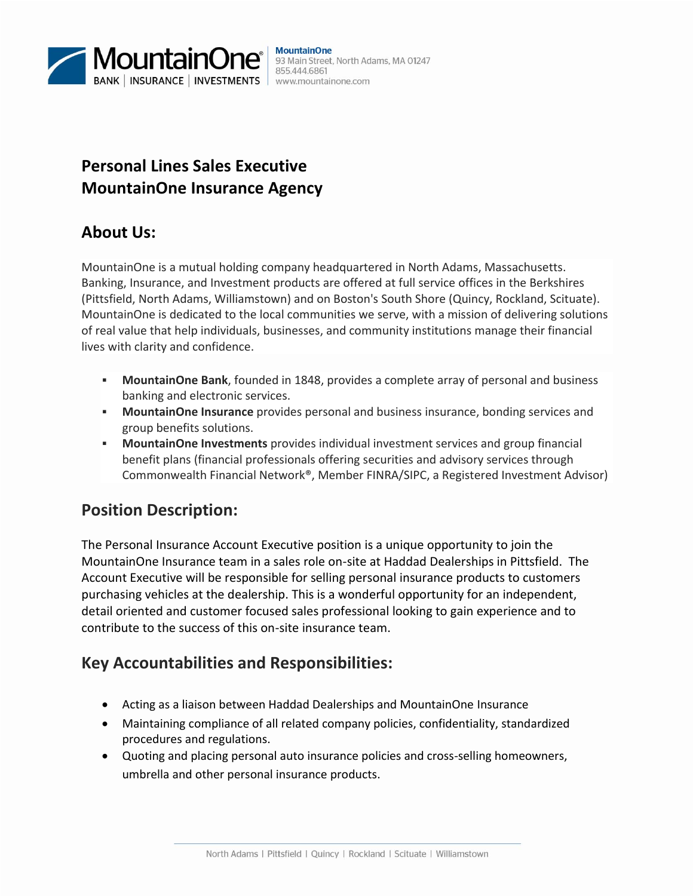

## **Personal Lines Sales Executive MountainOne Insurance Agency**

#### **About Us:**

MountainOne is a mutual holding company headquartered in North Adams, Massachusetts. Banking, Insurance, and Investment products are offered at full service offices in the Berkshires (Pittsfield, North Adams, Williamstown) and on Boston's South Shore (Quincy, Rockland, Scituate). MountainOne is dedicated to the local communities we serve, with a mission of delivering solutions of real value that help individuals, businesses, and community institutions manage their financial lives with clarity and confidence.

- **MountainOne Bank**, founded in 1848, provides a complete array of personal and business banking and electronic services.
- **MountainOne Insurance** provides personal and business insurance, bonding services and group benefits solutions.
- **MountainOne Investments** provides individual investment services and group financial benefit plans (financial professionals offering securities and advisory services through Commonwealth Financial Network®, Member FINRA/SIPC, a Registered Investment Advisor)

#### **Position Description:**

The Personal Insurance Account Executive position is a unique opportunity to join the MountainOne Insurance team in a sales role on-site at Haddad Dealerships in Pittsfield. The Account Executive will be responsible for selling personal insurance products to customers purchasing vehicles at the dealership. This is a wonderful opportunity for an independent, detail oriented and customer focused sales professional looking to gain experience and to contribute to the success of this on-site insurance team.

#### **Key Accountabilities and Responsibilities:**

- Acting as a liaison between Haddad Dealerships and MountainOne Insurance
- Maintaining compliance of all related company policies, confidentiality, standardized procedures and regulations.
- Quoting and placing personal auto insurance policies and cross-selling homeowners, umbrella and other personal insurance products.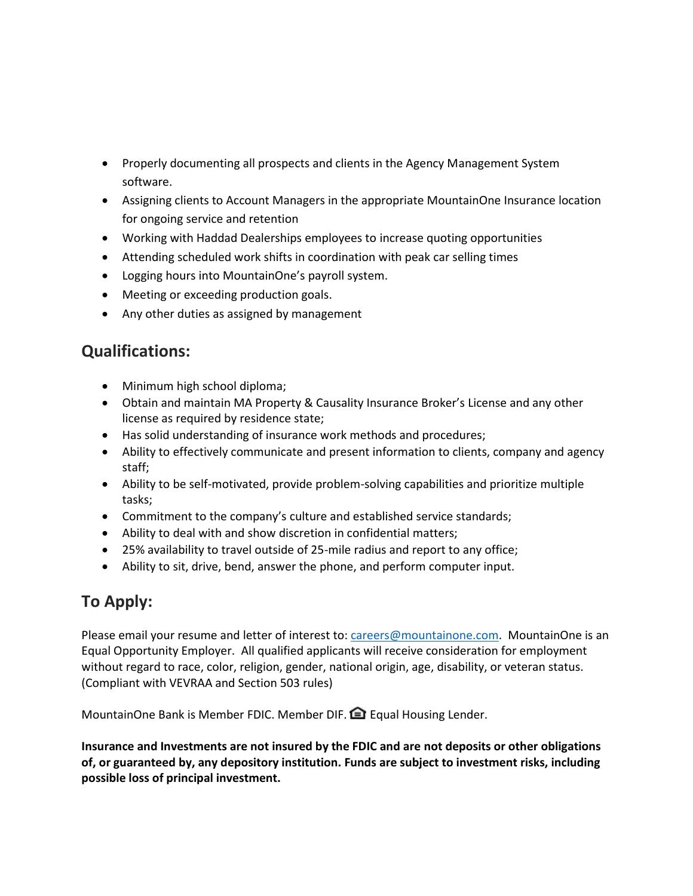- Properly documenting all prospects and clients in the Agency Management System software.
- Assigning clients to Account Managers in the appropriate MountainOne Insurance location for ongoing service and retention
- Working with Haddad Dealerships employees to increase quoting opportunities
- Attending scheduled work shifts in coordination with peak car selling times
- Logging hours into MountainOne's payroll system.
- Meeting or exceeding production goals.
- Any other duties as assigned by management

### **Qualifications:**

- Minimum high school diploma;
- Obtain and maintain MA Property & Causality Insurance Broker's License and any other license as required by residence state;
- Has solid understanding of insurance work methods and procedures;
- Ability to effectively communicate and present information to clients, company and agency staff;
- Ability to be self-motivated, provide problem-solving capabilities and prioritize multiple tasks;
- Commitment to the company's culture and established service standards;
- Ability to deal with and show discretion in confidential matters;
- 25% availability to travel outside of 25-mile radius and report to any office;
- Ability to sit, drive, bend, answer the phone, and perform computer input.

# **To Apply:**

Please email your resume and letter of interest to: [careers@mountainone.com.](mailto:careers@mountainone.com) MountainOne is an Equal Opportunity Employer. All qualified applicants will receive consideration for employment without regard to race, color, religion, gender, national origin, age, disability, or veteran status. (Compliant with VEVRAA and Section 503 rules)

MountainOne Bank is Member FDIC. Member DIF. **Example Housing Lender.** 

**Insurance and Investments are not insured by the FDIC and are not deposits or other obligations of, or guaranteed by, any depository institution. Funds are subject to investment risks, including possible loss of principal investment.**